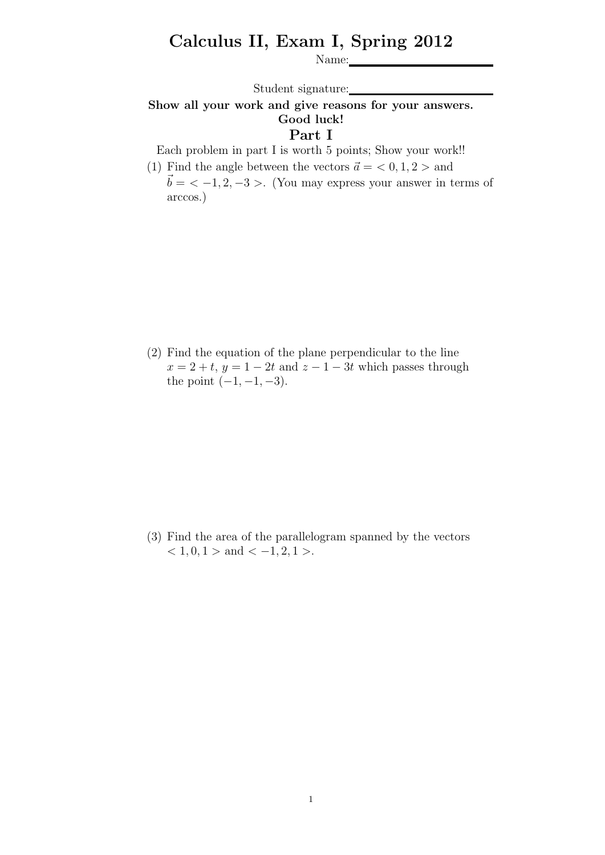## Calculus II, Exam I, Spring 2012

Name:

Student signature:

## Show all your work and give reasons for your answers. Good luck!

## Part I

Each problem in part I is worth 5 points; Show your work!!

(1) Find the angle between the vectors  $\vec{a} = \langle 0, 1, 2 \rangle$  and  $\vec{b} = \langle -1, 2, -3 \rangle$ . (You may express your answer in terms of arccos.)

(2) Find the equation of the plane perpendicular to the line  $x = 2 + t$ ,  $y = 1 - 2t$  and  $z - 1 - 3t$  which passes through the point  $(-1, -1, -3)$ .

(3) Find the area of the parallelogram spanned by the vectors  $< 1, 0, 1 >$  and  $< -1, 2, 1 >$ .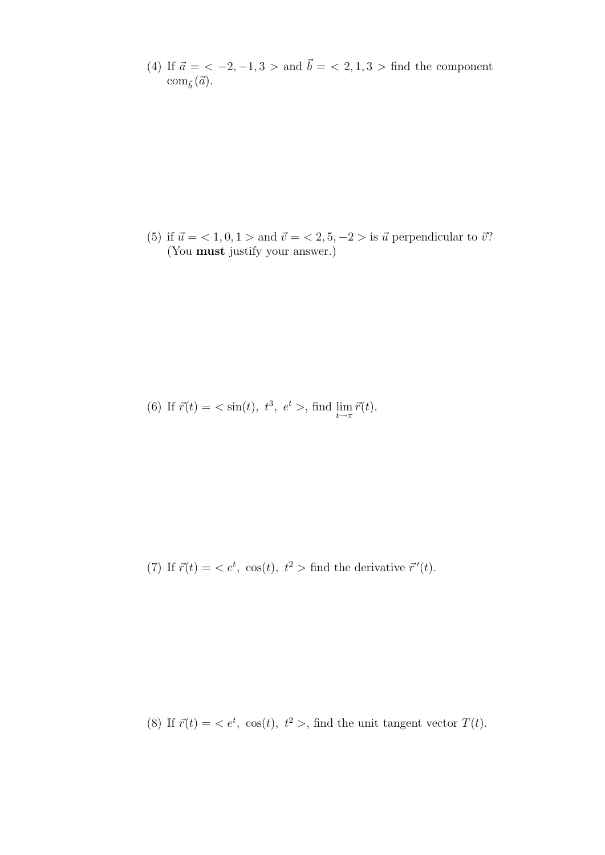(4) If  $\vec{a} = \langle -2, -1, 3 \rangle$  and  $\vec{b} = \langle 2, 1, 3 \rangle$  find the component  $\text{com}_{\vec{b}}(\vec{a})$ .

(5) if  $\vec{u} = \langle 1, 0, 1 \rangle$  and  $\vec{v} = \langle 2, 5, -2 \rangle$  is  $\vec{u}$  perpendicular to  $\vec{v}$ ? (You must justify your answer.)

(6) If 
$$
\vec{r}(t) = \langle \sin(t), t^3, e^t \rangle
$$
, find  $\lim_{t \to \pi} \vec{r}(t)$ .

(7) If  $\vec{r}(t) = \langle e^t, \cos(t), t^2 \rangle$  find the derivative  $\vec{r}'(t)$ .

(8) If  $\vec{r}(t) = \langle e^t, \cos(t), t^2 \rangle$ , find the unit tangent vector  $T(t)$ .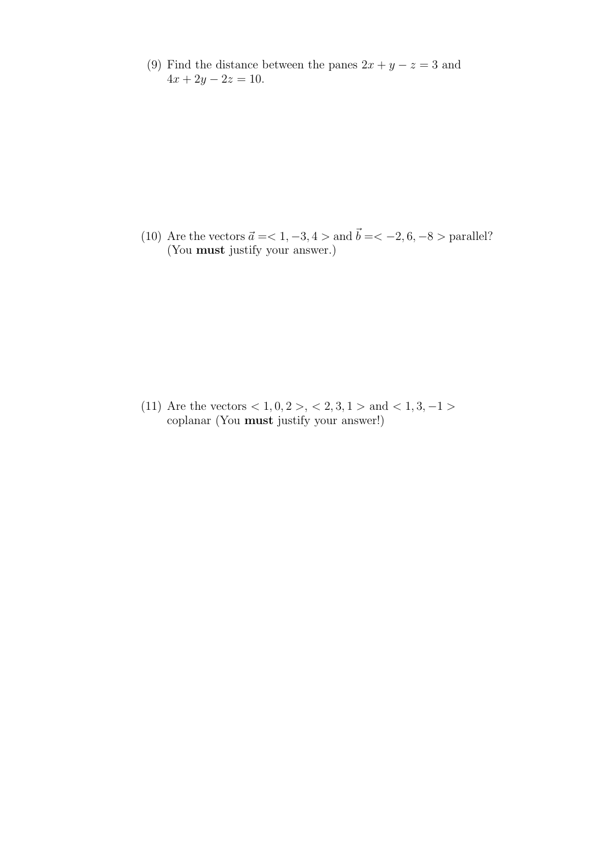(9) Find the distance between the panes  $2x + y - z = 3$  and  $4x + 2y - 2z = 10.$ 

(10) Are the vectors  $\vec{a} = 1, -3, 4 >$  and  $\vec{b} = 2, 6, -8 >$  parallel? (You must justify your answer.)

(11) Are the vectors  $< 1, 0, 2 > 1, 2, 3, 1 > 1$  and  $< 1, 3, -1 > 1$ coplanar (You must justify your answer!)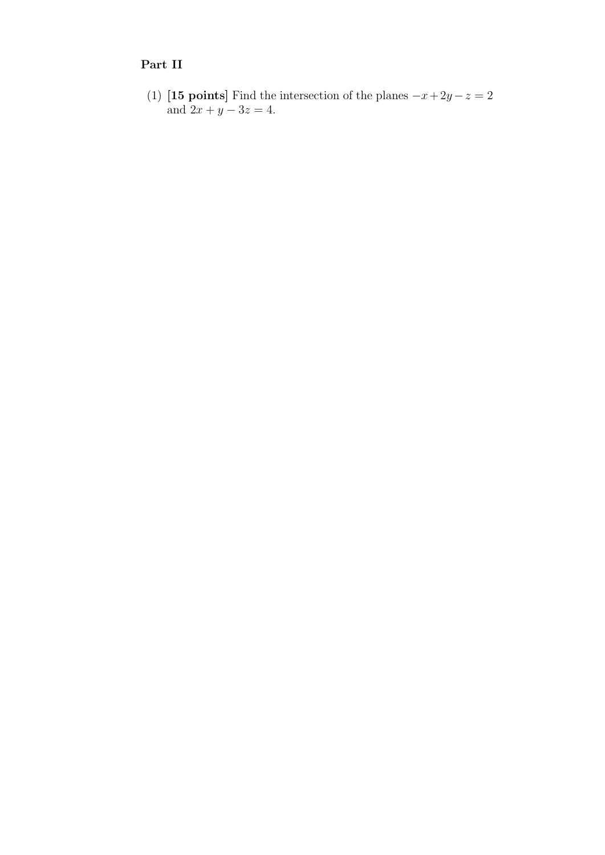## Part II

(1) [15 points] Find the intersection of the planes  $-x+2y-z=2$ and  $2x + y - 3z = 4$ .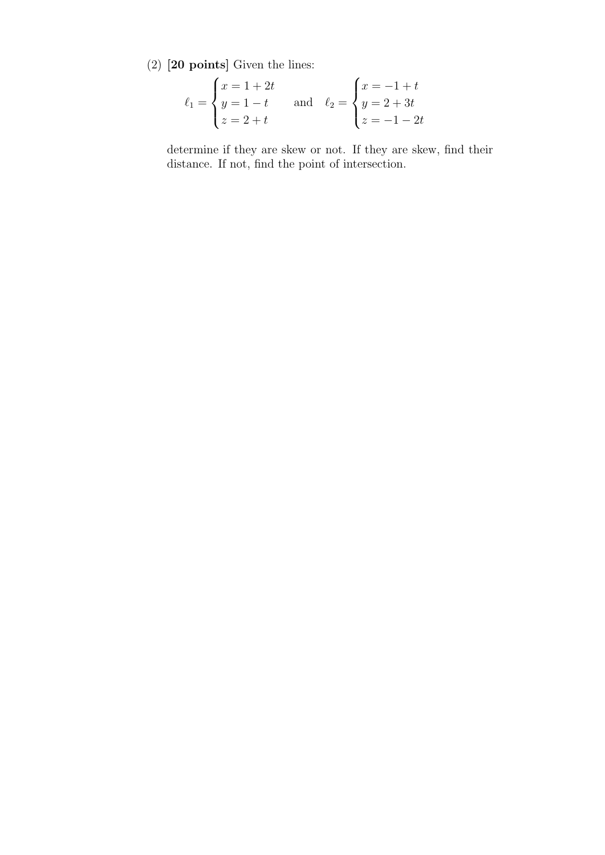(2) [20 points] Given the lines:

$$
\ell_1 = \begin{cases} x = 1 + 2t \\ y = 1 - t \\ z = 2 + t \end{cases} \text{ and } \ell_2 = \begin{cases} x = -1 + t \\ y = 2 + 3t \\ z = -1 - 2t \end{cases}
$$

determine if they are skew or not. If they are skew, find their distance. If not, find the point of intersection.